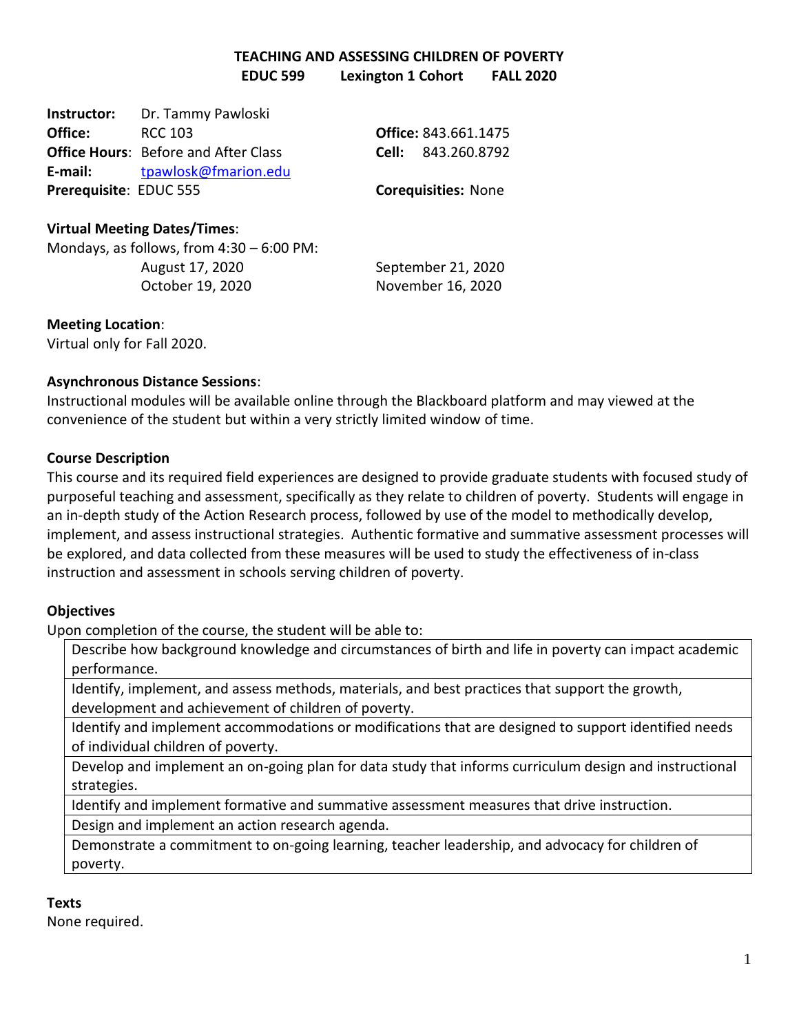# **TEACHING AND ASSESSING CHILDREN OF POVERTY EDUC 599 Lexington 1 Cohort FALL 2020**

| Instructor:            | Dr. Tammy Pawloski                          |                            |
|------------------------|---------------------------------------------|----------------------------|
| Office:                | RCC 103                                     | Office: 843.661.1475       |
|                        | <b>Office Hours: Before and After Class</b> | <b>Cell:</b> 843.260.8792  |
| E-mail:                | tpawlosk@fmarion.edu                        |                            |
| Prerequisite: EDUC 555 |                                             | <b>Corequisities: None</b> |

# **Virtual Meeting Dates/Times**:

Mondays, as follows, from 4:30 – 6:00 PM: August 17, 2020 September 21, 2020 October 19, 2020 November 16, 2020

## **Meeting Location**:

Virtual only for Fall 2020.

# **Asynchronous Distance Sessions**:

Instructional modules will be available online through the Blackboard platform and may viewed at the convenience of the student but within a very strictly limited window of time.

# **Course Description**

This course and its required field experiences are designed to provide graduate students with focused study of purposeful teaching and assessment, specifically as they relate to children of poverty. Students will engage in an in-depth study of the Action Research process, followed by use of the model to methodically develop, implement, and assess instructional strategies. Authentic formative and summative assessment processes will be explored, and data collected from these measures will be used to study the effectiveness of in-class instruction and assessment in schools serving children of poverty.

# **Objectives**

Upon completion of the course, the student will be able to:

Describe how background knowledge and circumstances of birth and life in poverty can impact academic performance.

Identify, implement, and assess methods, materials, and best practices that support the growth, development and achievement of children of poverty.

Identify and implement accommodations or modifications that are designed to support identified needs of individual children of poverty.

Develop and implement an on-going plan for data study that informs curriculum design and instructional strategies.

Identify and implement formative and summative assessment measures that drive instruction.

Design and implement an action research agenda.

Demonstrate a commitment to on-going learning, teacher leadership, and advocacy for children of poverty.

# **Texts**

None required.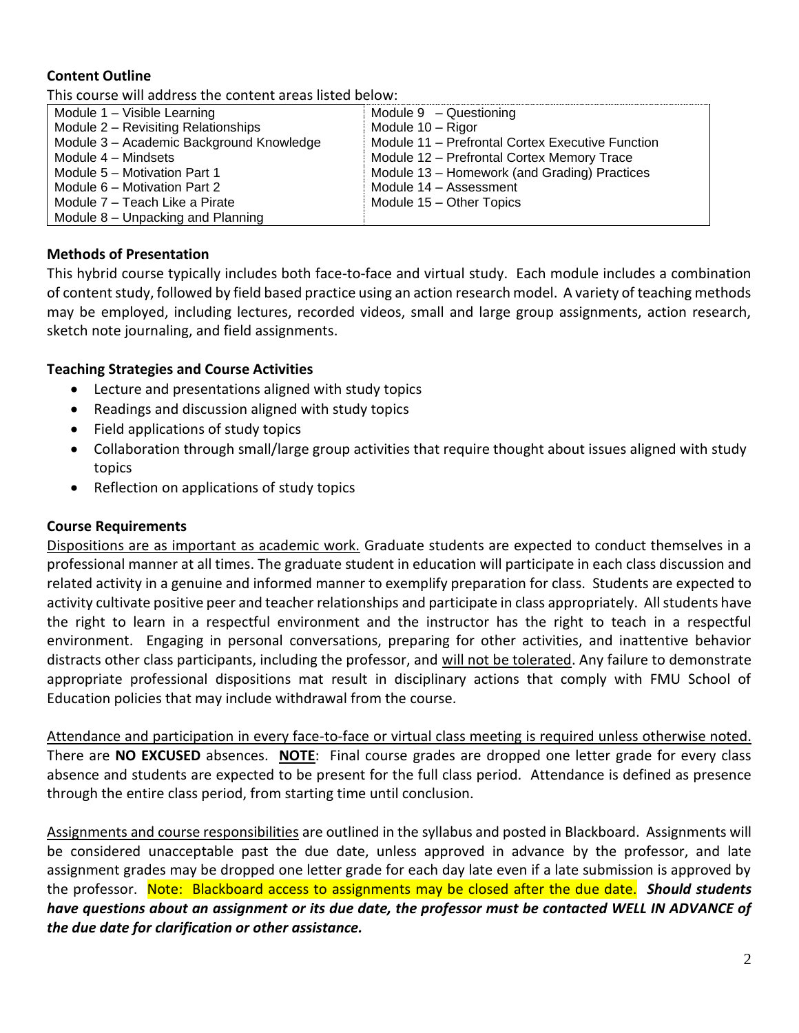# **Content Outline**

This course will address the content areas listed below:

| Module 1 - Visible Learning              | Module $9 -$ Questioning                         |
|------------------------------------------|--------------------------------------------------|
| Module 2 - Revisiting Relationships      | Module 10 - Rigor                                |
| Module 3 - Academic Background Knowledge | Module 11 - Prefrontal Cortex Executive Function |
| Module 4 - Mindsets                      | Module 12 – Prefrontal Cortex Memory Trace       |
| Module 5 – Motivation Part 1             | Module 13 - Homework (and Grading) Practices     |
| Module 6 – Motivation Part 2             | Module 14 - Assessment                           |
| Module 7 – Teach Like a Pirate           | Module 15 - Other Topics                         |
| Module 8 – Unpacking and Planning        |                                                  |

# **Methods of Presentation**

This hybrid course typically includes both face-to-face and virtual study. Each module includes a combination of content study, followed by field based practice using an action research model. A variety of teaching methods may be employed, including lectures, recorded videos, small and large group assignments, action research, sketch note journaling, and field assignments.

# **Teaching Strategies and Course Activities**

- Lecture and presentations aligned with study topics
- Readings and discussion aligned with study topics
- Field applications of study topics
- Collaboration through small/large group activities that require thought about issues aligned with study topics
- Reflection on applications of study topics

# **Course Requirements**

Dispositions are as important as academic work. Graduate students are expected to conduct themselves in a professional manner at all times. The graduate student in education will participate in each class discussion and related activity in a genuine and informed manner to exemplify preparation for class. Students are expected to activity cultivate positive peer and teacher relationships and participate in class appropriately. All students have the right to learn in a respectful environment and the instructor has the right to teach in a respectful environment. Engaging in personal conversations, preparing for other activities, and inattentive behavior distracts other class participants, including the professor, and will not be tolerated. Any failure to demonstrate appropriate professional dispositions mat result in disciplinary actions that comply with FMU School of Education policies that may include withdrawal from the course.

Attendance and participation in every face-to-face or virtual class meeting is required unless otherwise noted. There are **NO EXCUSED** absences. **NOTE**: Final course grades are dropped one letter grade for every class absence and students are expected to be present for the full class period. Attendance is defined as presence through the entire class period, from starting time until conclusion.

Assignments and course responsibilities are outlined in the syllabus and posted in Blackboard. Assignments will be considered unacceptable past the due date, unless approved in advance by the professor, and late assignment grades may be dropped one letter grade for each day late even if a late submission is approved by the professor. Note: Blackboard access to assignments may be closed after the due date. *Should students have questions about an assignment or its due date, the professor must be contacted WELL IN ADVANCE of the due date for clarification or other assistance.*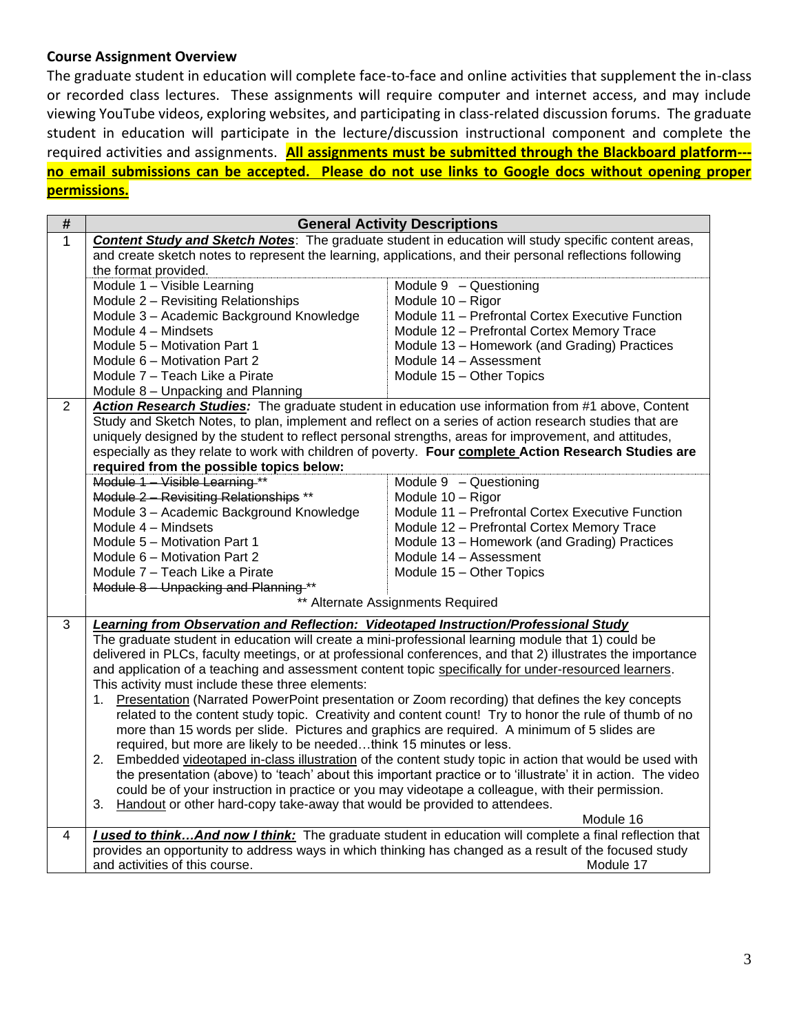# **Course Assignment Overview**

The graduate student in education will complete face-to-face and online activities that supplement the in-class or recorded class lectures. These assignments will require computer and internet access, and may include viewing YouTube videos, exploring websites, and participating in class-related discussion forums. The graduate student in education will participate in the lecture/discussion instructional component and complete the required activities and assignments. **All assignments must be submitted through the Blackboard platform-- no email submissions can be accepted. Please do not use links to Google docs without opening proper permissions.**

| #              |                                                                                                        | <b>General Activity Descriptions</b>                                                                         |
|----------------|--------------------------------------------------------------------------------------------------------|--------------------------------------------------------------------------------------------------------------|
| $\mathbf{1}$   |                                                                                                        | <b>Content Study and Sketch Notes:</b> The graduate student in education will study specific content areas,  |
|                | the format provided.                                                                                   | and create sketch notes to represent the learning, applications, and their personal reflections following    |
|                | Module 1 - Visible Learning                                                                            | Module 9 - Questioning                                                                                       |
|                | Module 2 - Revisiting Relationships                                                                    | Module 10 - Rigor                                                                                            |
|                | Module 3 - Academic Background Knowledge                                                               | Module 11 - Prefrontal Cortex Executive Function                                                             |
|                | Module 4 - Mindsets                                                                                    | Module 12 - Prefrontal Cortex Memory Trace                                                                   |
|                | Module 5 - Motivation Part 1                                                                           | Module 13 - Homework (and Grading) Practices                                                                 |
|                | Module 6 - Motivation Part 2                                                                           | Module 14 - Assessment                                                                                       |
|                | Module 7 – Teach Like a Pirate                                                                         | Module 15 - Other Topics                                                                                     |
|                | Module 8 - Unpacking and Planning                                                                      |                                                                                                              |
| 2              |                                                                                                        | Action Research Studies: The graduate student in education use information from #1 above, Content            |
|                | Study and Sketch Notes, to plan, implement and reflect on a series of action research studies that are |                                                                                                              |
|                | uniquely designed by the student to reflect personal strengths, areas for improvement, and attitudes,  |                                                                                                              |
|                |                                                                                                        | especially as they relate to work with children of poverty. Four complete Action Research Studies are        |
|                | required from the possible topics below:                                                               |                                                                                                              |
|                | Module 1 - Visible Learning **                                                                         | Module $9 -$ Questioning                                                                                     |
|                | Module 2 - Revisiting Relationships **                                                                 | Module 10 - Rigor                                                                                            |
|                | Module 3 - Academic Background Knowledge                                                               | Module 11 - Prefrontal Cortex Executive Function                                                             |
|                | Module 4 - Mindsets                                                                                    | Module 12 - Prefrontal Cortex Memory Trace                                                                   |
|                | Module 5 - Motivation Part 1                                                                           | Module 13 - Homework (and Grading) Practices                                                                 |
|                | Module 6 - Motivation Part 2                                                                           | Module 14 - Assessment                                                                                       |
|                | Module 7 – Teach Like a Pirate                                                                         | Module 15 - Other Topics                                                                                     |
|                | Module 8 - Unpacking and Planning **                                                                   |                                                                                                              |
|                |                                                                                                        | ** Alternate Assignments Required                                                                            |
| $\overline{3}$ | Learning from Observation and Reflection: Videotaped Instruction/Professional Study                    |                                                                                                              |
|                | The graduate student in education will create a mini-professional learning module that 1) could be     |                                                                                                              |
|                |                                                                                                        | delivered in PLCs, faculty meetings, or at professional conferences, and that 2) illustrates the importance  |
|                | and application of a teaching and assessment content topic specifically for under-resourced learners.  |                                                                                                              |
|                | This activity must include these three elements:                                                       |                                                                                                              |
|                | 1.                                                                                                     | Presentation (Narrated PowerPoint presentation or Zoom recording) that defines the key concepts              |
|                |                                                                                                        | related to the content study topic. Creativity and content count! Try to honor the rule of thumb of no       |
|                | more than 15 words per slide. Pictures and graphics are required. A minimum of 5 slides are            |                                                                                                              |
|                | required, but more are likely to be neededthink 15 minutes or less.                                    |                                                                                                              |
|                | 2.                                                                                                     | Embedded videotaped in-class illustration of the content study topic in action that would be used with       |
|                |                                                                                                        | the presentation (above) to 'teach' about this important practice or to 'illustrate' it in action. The video |
|                |                                                                                                        | could be of your instruction in practice or you may videotape a colleague, with their permission.            |
|                | Handout or other hard-copy take-away that would be provided to attendees.<br>3.                        | Module 16                                                                                                    |
| 4              |                                                                                                        | I used to think And now I think: The graduate student in education will complete a final reflection that     |
|                |                                                                                                        | provides an opportunity to address ways in which thinking has changed as a result of the focused study       |
|                | and activities of this course.                                                                         | Module 17                                                                                                    |
|                |                                                                                                        |                                                                                                              |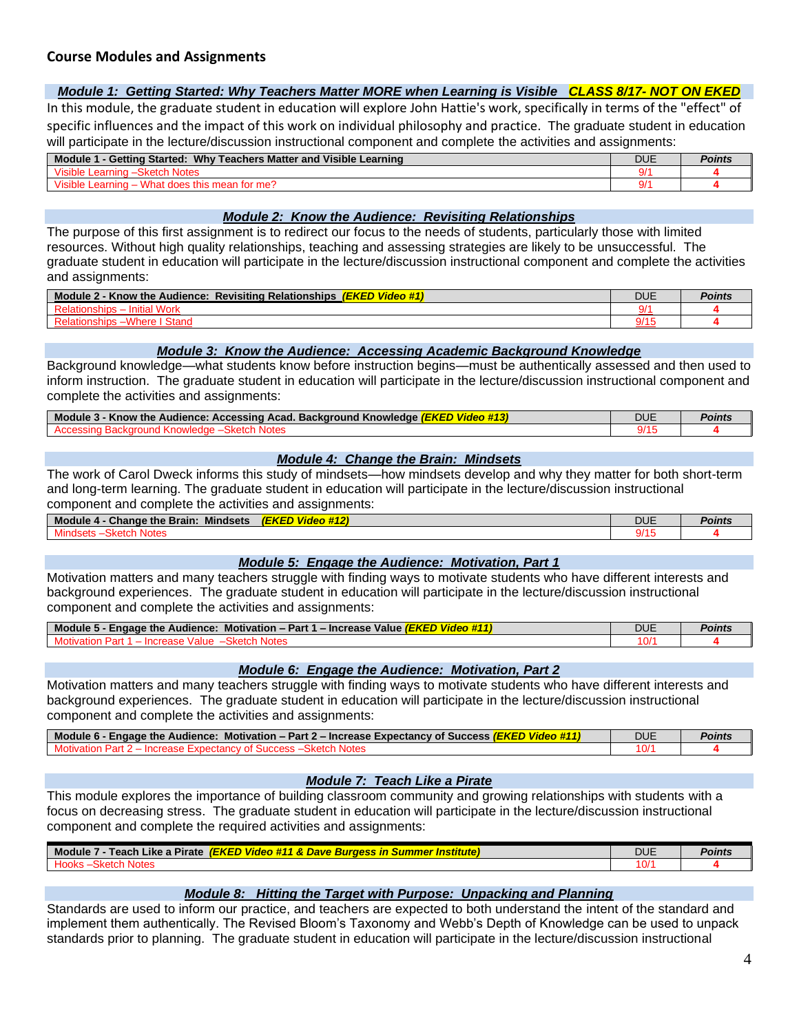## **Course Modules and Assignments**

### *Module 1: Getting Started: Why Teachers Matter MORE when Learning is Visible CLASS 8/17- NOT ON EKED*

In this module, the graduate student in education will explore John Hattie's work, specifically in terms of the "effect" of specific influences and the impact of this work on individual philosophy and practice. The graduate student in education will participate in the lecture/discussion instructional component and complete the activities and assignments:

| - Getting Started: Why Teachers Matter and Visible Learning<br><b>Module</b> | <b>DUE</b> | 'oints |
|------------------------------------------------------------------------------|------------|--------|
| Visible L<br><b>Notes</b><br>∟earninc                                        |            |        |
| Visible i<br>What doge<br>≘this mean ৷<br>، for me'∤<br>Learning             |            |        |

#### *Module 2: Know the Audience: Revisiting Relationships*

The purpose of this first assignment is to redirect our focus to the needs of students, particularly those with limited resources. Without high quality relationships, teaching and assessing strategies are likely to be unsuccessful. The graduate student in education will participate in the lecture/discussion instructional component and complete the activities and assignments:

| $-1/2$ and $-$<br>33.4<br><b>YEIZEN</b><br>Module 2<br><b>Know the Audience:</b><br>∣ Relationship։<br>Revisiting<br><b><i>video</i></b><br>:rc | <b>DUE</b> | Points |
|-------------------------------------------------------------------------------------------------------------------------------------------------|------------|--------|
| .<br><b>VUIN</b>                                                                                                                                |            |        |
|                                                                                                                                                 |            |        |

### *Module 3: Know the Audience: Accessing Academic Background Knowledge*

Background knowledge—what students know before instruction begins—must be authentically assessed and then used to inform instruction. The graduate student in education will participate in the lecture/discussion instructional component and complete the activities and assignments:

| <b>Module</b><br>: Accessing Acad. Background Knowledge L<br>Audience:<br>∕ Know the<br><u>IFKFD</u><br>vineo | <b>DUE</b> | Points |
|---------------------------------------------------------------------------------------------------------------|------------|--------|
|                                                                                                               | .          |        |

### *Module 4: Change the Brain: Mindsets*

The work of Carol Dweck informs this study of mindsets—how mindsets develop and why they matter for both short-term and long-term learning. The graduate student in education will participate in the lecture/discussion instructional component and complete the activities and assignments:

| Module 4<br><b>Mindsets</b><br><b>Change the Brain:</b> | <b>B</b> 22 21<br><b>(EKED)</b><br><b><i>BEAM</i></b><br>Video #12 | DUE | Points |
|---------------------------------------------------------|--------------------------------------------------------------------|-----|--------|
| Mind                                                    |                                                                    | 14  |        |

### *Module 5: Engage the Audience: Motivation, Part 1*

Motivation matters and many teachers struggle with finding ways to motivate students who have different interests and background experiences. The graduate student in education will participate in the lecture/discussion instructional component and complete the activities and assignments:

| Module 5<br>Motivation – Part 1 – Increase Value<br><b>Engage the Audience:</b><br>. (EKED)<br><u>III Video #1. .</u> | DUE | Points |
|-----------------------------------------------------------------------------------------------------------------------|-----|--------|
| ™alu⊾.<br><b>JOIG.</b>                                                                                                | 0'  |        |

#### *Module 6: Engage the Audience: Motivation, Part 2*

Motivation matters and many teachers struggle with finding ways to motivate students who have different interests and background experiences. The graduate student in education will participate in the lecture/discussion instructional component and complete the activities and assignments:

| l  Module 6 - Engage the Audience:  Motivation – Part 2 – Increase Expectancy of Success <i>(EKED Video #11</i> | DUE | Points |
|-----------------------------------------------------------------------------------------------------------------|-----|--------|
| -ynectan<br>Part                                                                                                | -07 |        |

### *Module 7: Teach Like a Pirate*

This module explores the importance of building classroom community and growing relationships with students with a focus on decreasing stress. The graduate student in education will participate in the lecture/discussion instructional component and complete the required activities and assignments:

| <b>Module</b><br><b>Like</b><br><b>Pirate</b><br><b>Dave</b><br>Teach<br>νισε<br>ZKE'<br>16<br><b>Surde</b><br>- 111<br>$\sim$<br>: а<br>. | DUE           | 'UIIIIN |
|--------------------------------------------------------------------------------------------------------------------------------------------|---------------|---------|
|                                                                                                                                            | $\Delta$<br>v |         |
|                                                                                                                                            |               |         |

### *Module 8: Hitting the Target with Purpose: Unpacking and Planning*

Standards are used to inform our practice, and teachers are expected to both understand the intent of the standard and implement them authentically. The Revised Bloom's Taxonomy and Webb's Depth of Knowledge can be used to unpack standards prior to planning. The graduate student in education will participate in the lecture/discussion instructional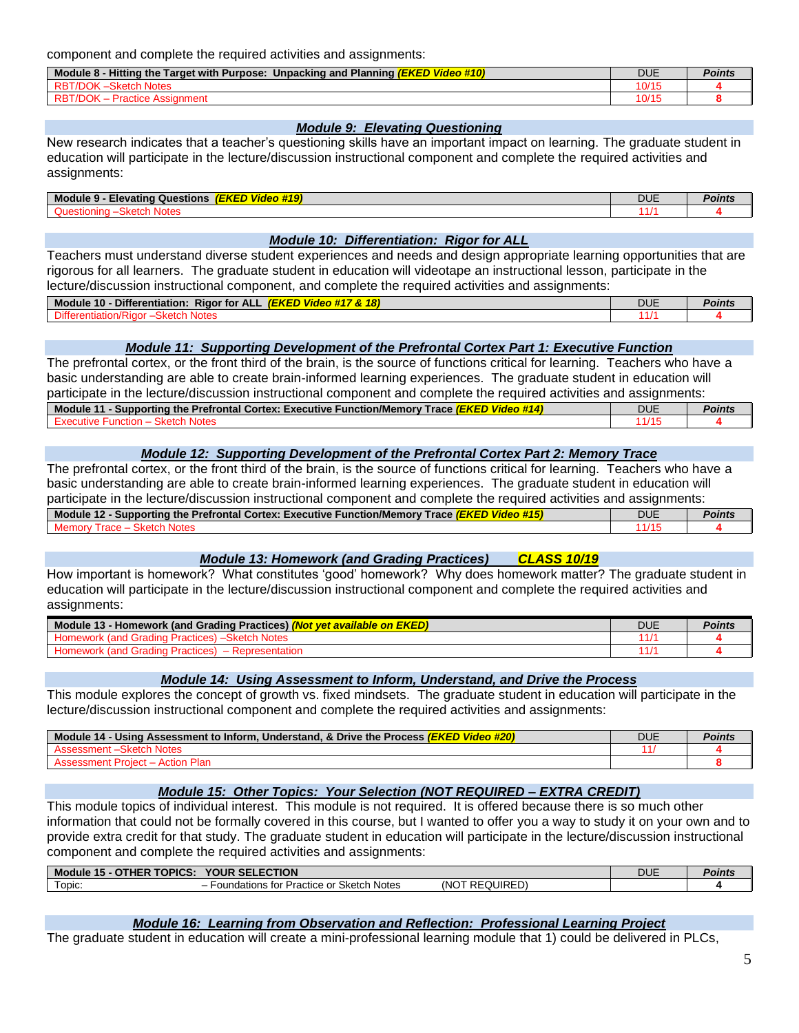component and complete the required activities and assignments:

| Video #10)<br><b>Hitting the Target with Purpose:</b><br>Module 8<br>Unpacking and Planning <i>(EKED</i> ) | DUE   | Points |
|------------------------------------------------------------------------------------------------------------|-------|--------|
| <b>RBT/DOK</b><br><b>Sketch Notes</b>                                                                      | 10/15 |        |
| ΩK<br>Prac.<br>stice Assignment                                                                            | 10/15 |        |

### *Module 9: Elevating Questioning*

New research indicates that a teacher's questioning skills have an important impact on learning. The graduate student in education will participate in the lecture/discussion instructional component and complete the required activities and assignments:

| Mod<br>Questions<br>∟levatınr<br>™lle …<br>- 13 | <b><i>BLACK</i></b><br><b>STATISTICS</b><br>-1-2 | 7112<br>◡◡∟ | - 711 16. |
|-------------------------------------------------|--------------------------------------------------|-------------|-----------|
| <b></b><br>.                                    |                                                  |             |           |

#### *Module 10: Differentiation: Rigor for ALL*

Teachers must understand diverse student experiences and needs and design appropriate learning opportunities that are rigorous for all learners. The graduate student in education will videotape an instructional lesson, participate in the lecture/discussion instructional component, and complete the required activities and assignments:

| ----<br>1.001<br><b>Rigor for</b><br><b>ALL</b><br><b>Module</b><br>18<br>10<br><b>IEKEL</b><br>Differentiation:<br><b>VIDEO</b> #1<br>$\overline{11}$ $\alpha$ | DUE        | Points |
|-----------------------------------------------------------------------------------------------------------------------------------------------------------------|------------|--------|
| .biffer                                                                                                                                                         | -4-14<br>ш |        |

### *Module 11: Supporting Development of the Prefrontal Cortex Part 1: Executive Function*

The prefrontal cortex, or the front third of the brain, is the source of functions critical for learning. Teachers who have a basic understanding are able to create brain-informed learning experiences. The graduate student in education will participate in the lecture/discussion instructional component and complete the required activities and assignments:

| - Supporting the Prefrontal Cortex: Executive Function/Memory<br><b>Module</b><br>Trace <i>(EKED</i><br>- 44<br>vm | <b>DUE</b> | Points |
|--------------------------------------------------------------------------------------------------------------------|------------|--------|
| cxec<br>arr<br>un                                                                                                  |            |        |

#### *Module 12: Supporting Development of the Prefrontal Cortex Part 2: Memory Trace*

The prefrontal cortex, or the front third of the brain, is the source of functions critical for learning. Teachers who have a basic understanding are able to create brain-informed learning experiences. The graduate student in education will participate in the lecture/discussion instructional component and complete the required activities and assignments:

| <b>No. 7 Prefrontal Cortex: Executive Function/Memory .</b><br><b>Module</b><br>Supporting<br>race <i>(El</i><br>tne i<br>rioe<br>4N.C | DUE | Points |
|----------------------------------------------------------------------------------------------------------------------------------------|-----|--------|
|                                                                                                                                        |     |        |

#### *Module 13: Homework (and Grading Practices) CLASS 10/19*

How important is homework? What constitutes 'good' homework? Why does homework matter? The graduate student in education will participate in the lecture/discussion instructional component and complete the required activities and assignments:

| ot vet available on EKED)<br>Module 13<br>· Homework (and Grading Practices) <mark><i>(No</i>:</mark><br><b>NOT</b> | <b>DUE</b> | <b>Points</b> |
|---------------------------------------------------------------------------------------------------------------------|------------|---------------|
| <b>tch Notes</b><br>radını                                                                                          |            |               |
| illen o<br>resentation<br>'ano<br>Homewor <sup>,</sup><br>adinα Pr≊ .<br>1auuuta 1                                  |            |               |

#### *Module 14: Using Assessment to Inform, Understand, and Drive the Process*

This module explores the concept of growth vs. fixed mindsets. The graduate student in education will participate in the lecture/discussion instructional component and complete the required activities and assignments:

| Video #20)<br>Mo<br>- Using Assessment to Inform, Understand, & Drive the Process (EKED)<br>14<br>alut | DUE | oınts |
|--------------------------------------------------------------------------------------------------------|-----|-------|
| Notes                                                                                                  |     |       |
|                                                                                                        |     |       |

### *Module 15: Other Topics: Your Selection (NOT REQUIRED – EXTRA CREDIT)*

This module topics of individual interest. This module is not required. It is offered because there is so much other information that could not be formally covered in this course, but I wanted to offer you a way to study it on your own and to provide extra credit for that study. The graduate student in education will participate in the lecture/discussion instructional component and complete the required activities and assignments:

| <b>TOPICS:</b><br>AUL.            | ECTION<br><b>YOUR</b>                                                     |              | <b>DUE</b> | oints' |
|-----------------------------------|---------------------------------------------------------------------------|--------------|------------|--------|
| $\overline{\phantom{0}}$<br>ODIC: | <b>Notes</b><br>Sketch<br>or<br>Practice u<br>$+ - - - -$<br>noations for | UIRED<br>(NO |            |        |

### *Module 16: Learning from Observation and Reflection: Professional Learning Project*

The graduate student in education will create a mini-professional learning module that 1) could be delivered in PLCs,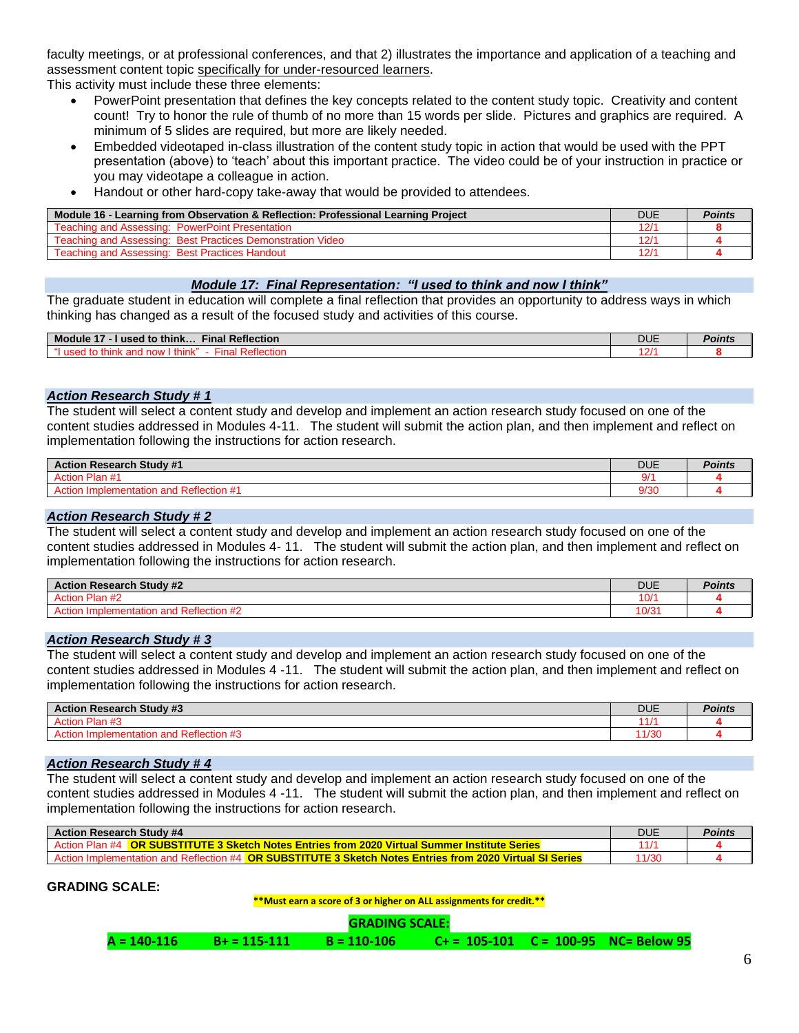faculty meetings, or at professional conferences, and that 2) illustrates the importance and application of a teaching and assessment content topic specifically for under-resourced learners.

This activity must include these three elements:

- PowerPoint presentation that defines the key concepts related to the content study topic. Creativity and content count! Try to honor the rule of thumb of no more than 15 words per slide. Pictures and graphics are required. A minimum of 5 slides are required, but more are likely needed.
- Embedded videotaped in-class illustration of the content study topic in action that would be used with the PPT presentation (above) to 'teach' about this important practice. The video could be of your instruction in practice or you may videotape a colleague in action.
- Handout or other hard-copy take-away that would be provided to attendees.

| Module 16 - Learning from Observation & Reflection: Professional Learning Project | DUE  | Points |
|-----------------------------------------------------------------------------------|------|--------|
| Teaching and Assessing: PowerPoint Presentation                                   | 12/1 |        |
| Teaching and Assessing: Best Practices Demonstration Video                        | 12/1 |        |
| Teaching and Assessing: Best Practices Handout                                    | 12/1 |        |

### *Module 17: Final Representation: "I used to think and now I think"*

The graduate student in education will complete a final reflection that provides an opportunity to address ways in which thinking has changed as a result of the focused study and activities of this course.

| $Fin$ al<br><b>Reflection</b><br><b>Module</b><br>.<br>think<br>J to<br>1150 <sup>o</sup> | <b>DUE</b> | Points |
|-------------------------------------------------------------------------------------------|------------|--------|
| aп<br><b>LENETK</b><br>,,,,,,                                                             |            |        |

#### *Action Research Study # 1*

The student will select a content study and develop and implement an action research study focused on one of the content studies addressed in Modules 4-11. The student will submit the action plan, and then implement and reflect on implementation following the instructions for action research.

| <b>Action Research Study #1</b> | <b>DUE</b> | Points. |
|---------------------------------|------------|---------|
| Dinn<br>пап                     | ، ۱        |         |
| Renecuon<br>н ан                | 9/30       |         |

### *Action Research Study # 2*

The student will select a content study and develop and implement an action research study focused on one of the content studies addressed in Modules 4- 11. The student will submit the action plan, and then implement and reflect on implementation following the instructions for action research.

| <b>Action Research Study #2</b><br>$\Lambda$ c <sup>4</sup> | <b>DUE</b> | 'OINTS |
|-------------------------------------------------------------|------------|--------|
| $\overline{110}$<br><b>DIAR</b><br>- Iail #4<br>╌           | 10/        |        |
| tion #2<br>ורז<br><b>NGHC</b>                               | ـ<br>U/J.  |        |

### *Action Research Study # 3*

The student will select a content study and develop and implement an action research study focused on one of the content studies addressed in Modules 4 -11. The student will submit the action plan, and then implement and reflect on implementation following the instructions for action research.

| <b>Action Research Study #3</b>            | <b>DUE</b>           | Points |
|--------------------------------------------|----------------------|--------|
| ⇒ Plan #J<br>Action                        | 4414<br>$\mathbf{L}$ |        |
| $\overline{110}$<br>l Reflection #3<br>ano | 1/30                 |        |

### *Action Research Study # 4*

The student will select a content study and develop and implement an action research study focused on one of the content studies addressed in Modules 4 -11. The student will submit the action plan, and then implement and reflect on implementation following the instructions for action research.

| <b>Action Research Study #4</b>                                                                    | <b>DUE</b> | Points |
|----------------------------------------------------------------------------------------------------|------------|--------|
| ○ OR SUBSTITUTE 3 Sketch Notes Entries from 2020 Virtual Summer Institute Series<br>Action Plan #4 |            |        |
| <b>OR SUBSTITUTE 3 Sketch Notes Entries from 2020 Virtual SI Series</b><br><b>Reflection</b>       | 11/30      |        |

**GRADING SCALE:**

**\*\*Must earn a score of 3 or higher on ALL assignments for credit.\*\***

| $C_+$ = 105-101 $C = 100-95$ NC= Below 95<br>$A = 140-116$ $B = 115-111$ $B = 110-106$ |  |
|----------------------------------------------------------------------------------------|--|
|----------------------------------------------------------------------------------------|--|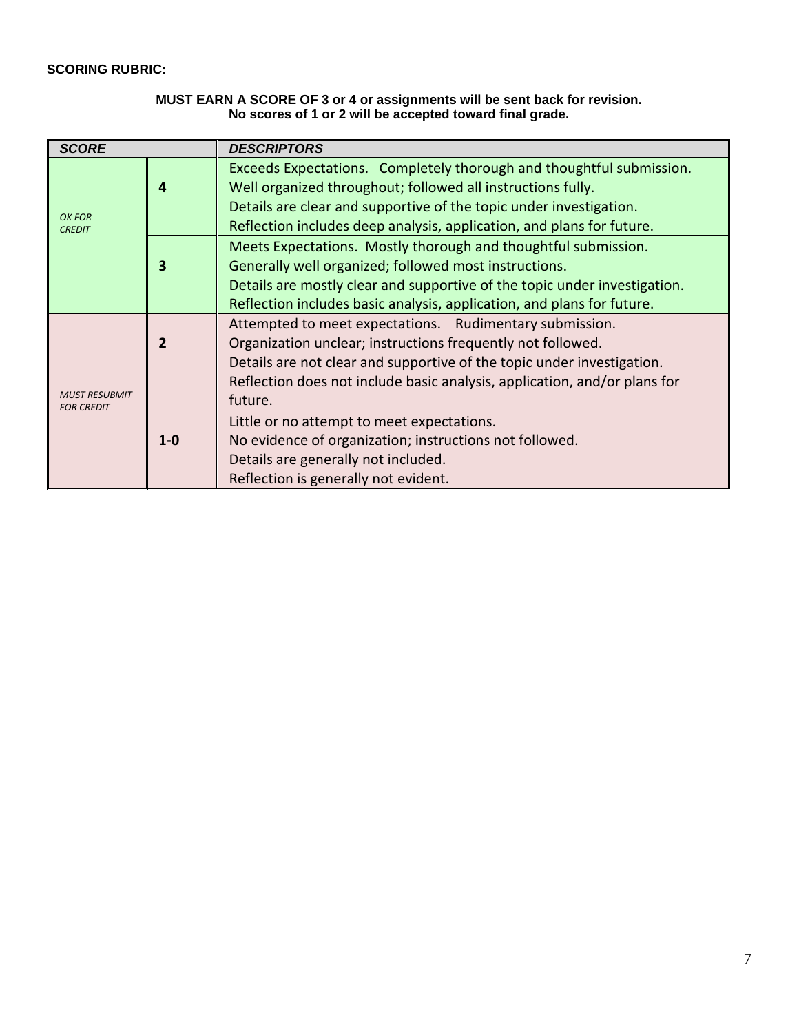## **SCORING RUBRIC:**

## **MUST EARN A SCORE OF 3 or 4 or assignments will be sent back for revision. No scores of 1 or 2 will be accepted toward final grade.**

| <b>SCORE</b>                              |                         | <b>DESCRIPTORS</b>                                                                                                                                                                                                                                                                                                                                      |  |  |  |  |
|-------------------------------------------|-------------------------|---------------------------------------------------------------------------------------------------------------------------------------------------------------------------------------------------------------------------------------------------------------------------------------------------------------------------------------------------------|--|--|--|--|
| OK FOR<br><b>CREDIT</b>                   | 4                       | Exceeds Expectations. Completely thorough and thoughtful submission.<br>Well organized throughout; followed all instructions fully.<br>Details are clear and supportive of the topic under investigation.                                                                                                                                               |  |  |  |  |
|                                           | $\overline{\mathbf{3}}$ | Reflection includes deep analysis, application, and plans for future.<br>Meets Expectations. Mostly thorough and thoughtful submission.<br>Generally well organized; followed most instructions.<br>Details are mostly clear and supportive of the topic under investigation.<br>Reflection includes basic analysis, application, and plans for future. |  |  |  |  |
| <b>MUST RESUBMIT</b><br><b>FOR CREDIT</b> | $\overline{2}$          | Attempted to meet expectations. Rudimentary submission.<br>Organization unclear; instructions frequently not followed.<br>Details are not clear and supportive of the topic under investigation.<br>Reflection does not include basic analysis, application, and/or plans for<br>future.                                                                |  |  |  |  |
|                                           | $1 - 0$                 | Little or no attempt to meet expectations.<br>No evidence of organization; instructions not followed.<br>Details are generally not included.<br>Reflection is generally not evident.                                                                                                                                                                    |  |  |  |  |